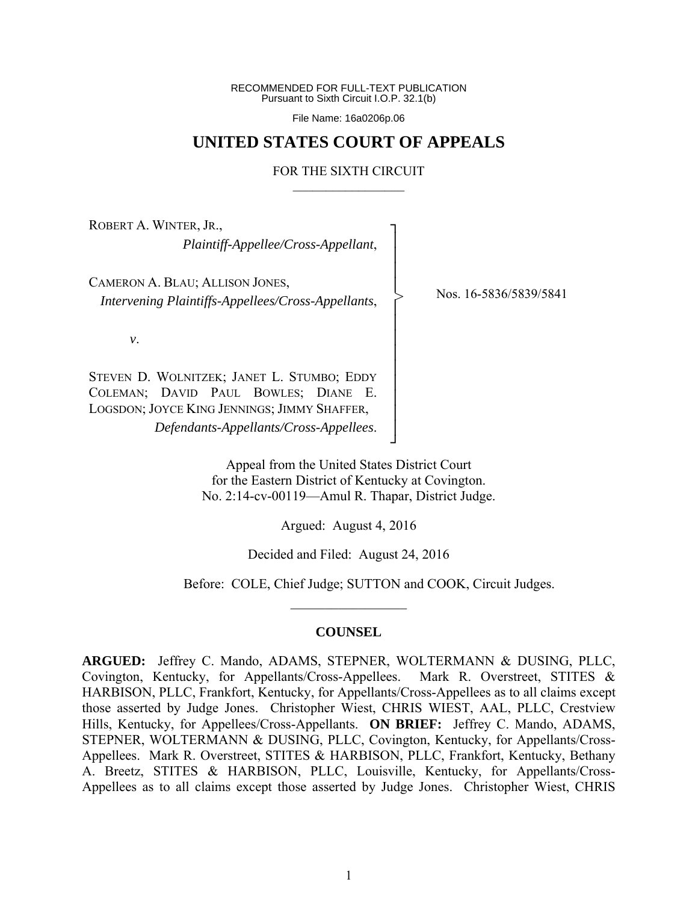RECOMMENDED FOR FULL-TEXT PUBLICATION Pursuant to Sixth Circuit I.O.P. 32.1(b)

File Name: 16a0206p.06

# **UNITED STATES COURT OF APPEALS**

## FOR THE SIXTH CIRCUIT  $\mathcal{L}_\text{max}$

┐ │ │ │ │ │ │ │ │ │ │ │ │ │ ┘

>

ROBERT A. WINTER, JR., *Plaintiff-Appellee/Cross-Appellant*,

CAMERON A. BLAU; ALLISON JONES, *Intervening Plaintiffs-Appellees/Cross-Appellants*,

Nos. 16-5836/5839/5841

*v*.

STEVEN D. WOLNITZEK; JANET L. STUMBO; EDDY COLEMAN; DAVID PAUL BOWLES; DIANE E. LOGSDON; JOYCE KING JENNINGS; JIMMY SHAFFER, *Defendants-Appellants/Cross-Appellees*.

> Appeal from the United States District Court for the Eastern District of Kentucky at Covington. No. 2:14-cv-00119—Amul R. Thapar, District Judge.

> > Argued: August 4, 2016

Decided and Filed: August 24, 2016

Before: COLE, Chief Judge; SUTTON and COOK, Circuit Judges.

### **COUNSEL**

 $\frac{1}{2}$ 

**ARGUED:** Jeffrey C. Mando, ADAMS, STEPNER, WOLTERMANN & DUSING, PLLC, Covington, Kentucky, for Appellants/Cross-Appellees. Mark R. Overstreet, STITES & HARBISON, PLLC, Frankfort, Kentucky, for Appellants/Cross-Appellees as to all claims except those asserted by Judge Jones. Christopher Wiest, CHRIS WIEST, AAL, PLLC, Crestview Hills, Kentucky, for Appellees/Cross-Appellants. **ON BRIEF:** Jeffrey C. Mando, ADAMS, STEPNER, WOLTERMANN & DUSING, PLLC, Covington, Kentucky, for Appellants/Cross-Appellees. Mark R. Overstreet, STITES & HARBISON, PLLC, Frankfort, Kentucky, Bethany A. Breetz, STITES & HARBISON, PLLC, Louisville, Kentucky, for Appellants/Cross-Appellees as to all claims except those asserted by Judge Jones. Christopher Wiest, CHRIS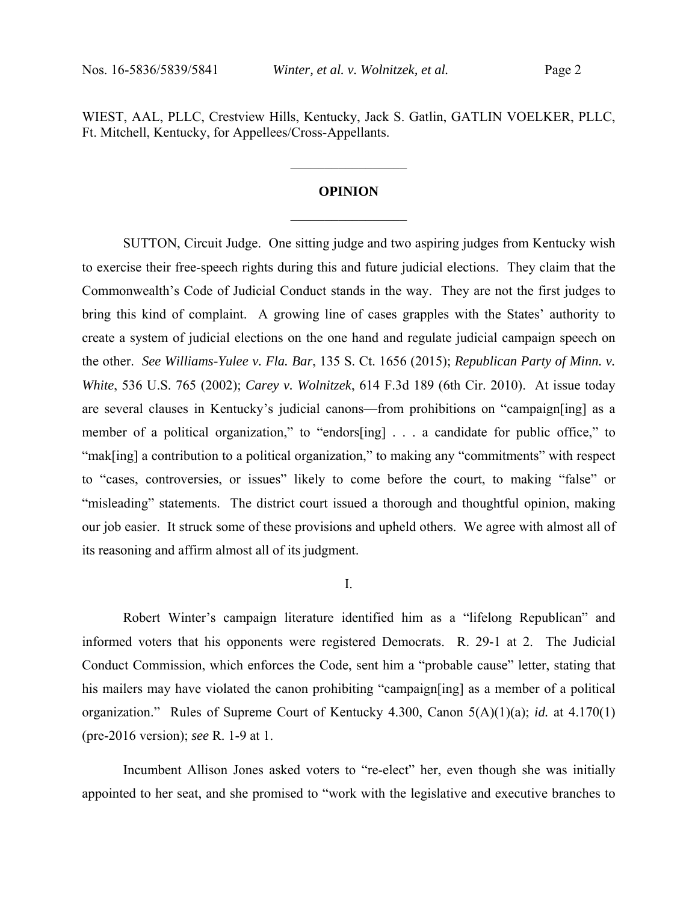WIEST, AAL, PLLC, Crestview Hills, Kentucky, Jack S. Gatlin, GATLIN VOELKER, PLLC, Ft. Mitchell, Kentucky, for Appellees/Cross-Appellants.

# **OPINION**   $\frac{1}{2}$  ,  $\frac{1}{2}$  ,  $\frac{1}{2}$  ,  $\frac{1}{2}$  ,  $\frac{1}{2}$  ,  $\frac{1}{2}$  ,  $\frac{1}{2}$  ,  $\frac{1}{2}$

 $\frac{1}{2}$  ,  $\frac{1}{2}$  ,  $\frac{1}{2}$  ,  $\frac{1}{2}$  ,  $\frac{1}{2}$  ,  $\frac{1}{2}$  ,  $\frac{1}{2}$  ,  $\frac{1}{2}$ 

 SUTTON, Circuit Judge. One sitting judge and two aspiring judges from Kentucky wish to exercise their free-speech rights during this and future judicial elections. They claim that the Commonwealth's Code of Judicial Conduct stands in the way. They are not the first judges to bring this kind of complaint. A growing line of cases grapples with the States' authority to create a system of judicial elections on the one hand and regulate judicial campaign speech on the other. *See Williams-Yulee v. Fla. Bar*, 135 S. Ct. 1656 (2015); *Republican Party of Minn. v. White*, 536 U.S. 765 (2002); *Carey v. Wolnitzek*, 614 F.3d 189 (6th Cir. 2010). At issue today are several clauses in Kentucky's judicial canons—from prohibitions on "campaign[ing] as a member of a political organization," to "endors[ing] . . . a candidate for public office," to "mak[ing] a contribution to a political organization," to making any "commitments" with respect to "cases, controversies, or issues" likely to come before the court, to making "false" or "misleading" statements. The district court issued a thorough and thoughtful opinion, making our job easier. It struck some of these provisions and upheld others. We agree with almost all of its reasoning and affirm almost all of its judgment.

I.

 Robert Winter's campaign literature identified him as a "lifelong Republican" and informed voters that his opponents were registered Democrats. R. 29-1 at 2. The Judicial Conduct Commission, which enforces the Code, sent him a "probable cause" letter, stating that his mailers may have violated the canon prohibiting "campaign[ing] as a member of a political organization." Rules of Supreme Court of Kentucky 4.300, Canon 5(A)(1)(a); *id.* at 4.170(1) (pre-2016 version); *see* R. 1-9 at 1.

Incumbent Allison Jones asked voters to "re-elect" her, even though she was initially appointed to her seat, and she promised to "work with the legislative and executive branches to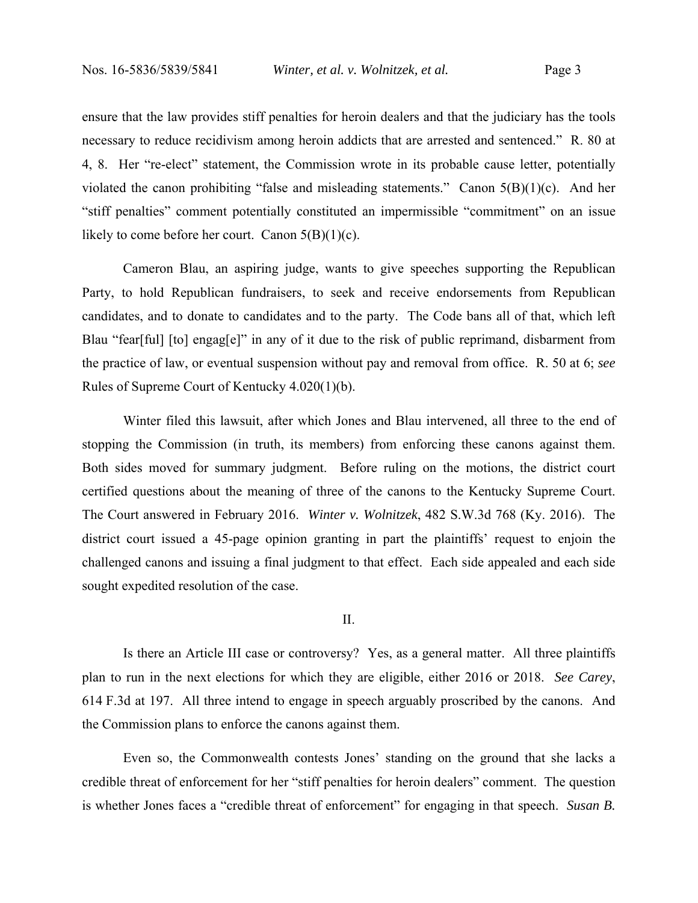ensure that the law provides stiff penalties for heroin dealers and that the judiciary has the tools necessary to reduce recidivism among heroin addicts that are arrested and sentenced." R. 80 at 4, 8. Her "re-elect" statement, the Commission wrote in its probable cause letter, potentially violated the canon prohibiting "false and misleading statements." Canon  $5(B)(1)(c)$ . And her "stiff penalties" comment potentially constituted an impermissible "commitment" on an issue likely to come before her court. Canon  $5(B)(1)(c)$ .

Cameron Blau, an aspiring judge, wants to give speeches supporting the Republican Party, to hold Republican fundraisers, to seek and receive endorsements from Republican candidates, and to donate to candidates and to the party. The Code bans all of that, which left Blau "fear[ful] [to] engag[e]" in any of it due to the risk of public reprimand, disbarment from the practice of law, or eventual suspension without pay and removal from office. R. 50 at 6; *see*  Rules of Supreme Court of Kentucky 4.020(1)(b).

Winter filed this lawsuit, after which Jones and Blau intervened, all three to the end of stopping the Commission (in truth, its members) from enforcing these canons against them. Both sides moved for summary judgment. Before ruling on the motions, the district court certified questions about the meaning of three of the canons to the Kentucky Supreme Court. The Court answered in February 2016. *Winter v. Wolnitzek*, 482 S.W.3d 768 (Ky. 2016). The district court issued a 45-page opinion granting in part the plaintiffs' request to enjoin the challenged canons and issuing a final judgment to that effect. Each side appealed and each side sought expedited resolution of the case.

II.

Is there an Article III case or controversy? Yes, as a general matter. All three plaintiffs plan to run in the next elections for which they are eligible, either 2016 or 2018. *See Carey*, 614 F.3d at 197. All three intend to engage in speech arguably proscribed by the canons. And the Commission plans to enforce the canons against them.

Even so, the Commonwealth contests Jones' standing on the ground that she lacks a credible threat of enforcement for her "stiff penalties for heroin dealers" comment. The question is whether Jones faces a "credible threat of enforcement" for engaging in that speech. *Susan B.*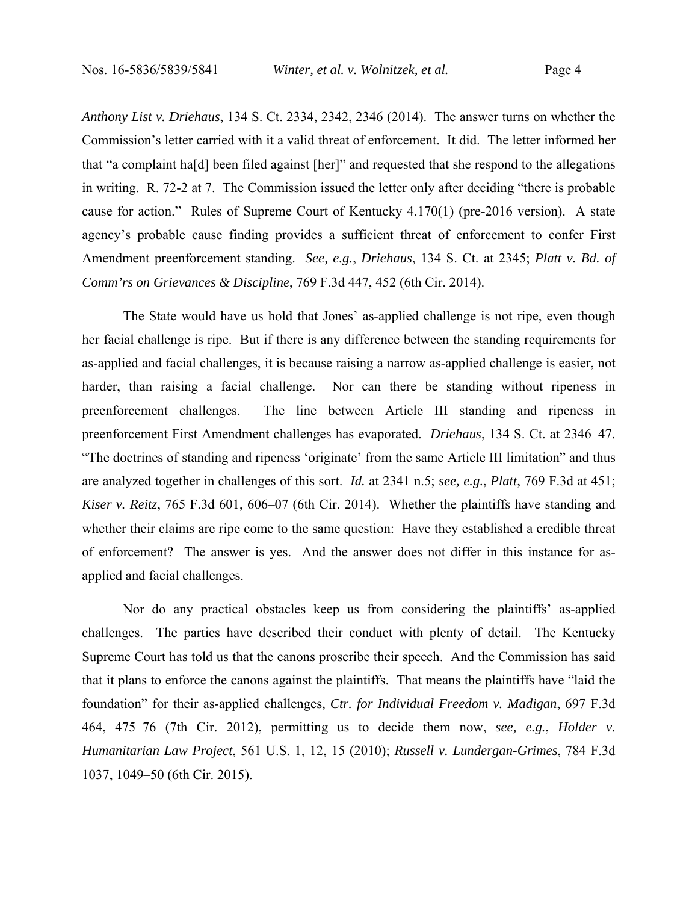*Anthony List v. Driehaus*, 134 S. Ct. 2334, 2342, 2346 (2014). The answer turns on whether the Commission's letter carried with it a valid threat of enforcement. It did. The letter informed her that "a complaint ha[d] been filed against [her]" and requested that she respond to the allegations in writing. R. 72-2 at 7. The Commission issued the letter only after deciding "there is probable cause for action." Rules of Supreme Court of Kentucky 4.170(1) (pre-2016 version). A state agency's probable cause finding provides a sufficient threat of enforcement to confer First Amendment preenforcement standing. *See, e.g.*, *Driehaus*, 134 S. Ct. at 2345; *Platt v. Bd. of Comm'rs on Grievances & Discipline*, 769 F.3d 447, 452 (6th Cir. 2014).

The State would have us hold that Jones' as-applied challenge is not ripe, even though her facial challenge is ripe. But if there is any difference between the standing requirements for as-applied and facial challenges, it is because raising a narrow as-applied challenge is easier, not harder, than raising a facial challenge. Nor can there be standing without ripeness in preenforcement challenges. The line between Article III standing and ripeness in preenforcement First Amendment challenges has evaporated. *Driehaus*, 134 S. Ct. at 2346–47. "The doctrines of standing and ripeness 'originate' from the same Article III limitation" and thus are analyzed together in challenges of this sort. *Id.* at 2341 n.5; *see, e.g.*, *Platt*, 769 F.3d at 451; *Kiser v. Reitz*, 765 F.3d 601, 606–07 (6th Cir. 2014). Whether the plaintiffs have standing and whether their claims are ripe come to the same question: Have they established a credible threat of enforcement? The answer is yes. And the answer does not differ in this instance for asapplied and facial challenges.

Nor do any practical obstacles keep us from considering the plaintiffs' as-applied challenges. The parties have described their conduct with plenty of detail. The Kentucky Supreme Court has told us that the canons proscribe their speech. And the Commission has said that it plans to enforce the canons against the plaintiffs. That means the plaintiffs have "laid the foundation" for their as-applied challenges, *Ctr. for Individual Freedom v. Madigan*, 697 F.3d 464, 475–76 (7th Cir. 2012), permitting us to decide them now, *see, e.g.*, *Holder v. Humanitarian Law Project*, 561 U.S. 1, 12, 15 (2010); *Russell v. Lundergan-Grimes*, 784 F.3d 1037, 1049–50 (6th Cir. 2015).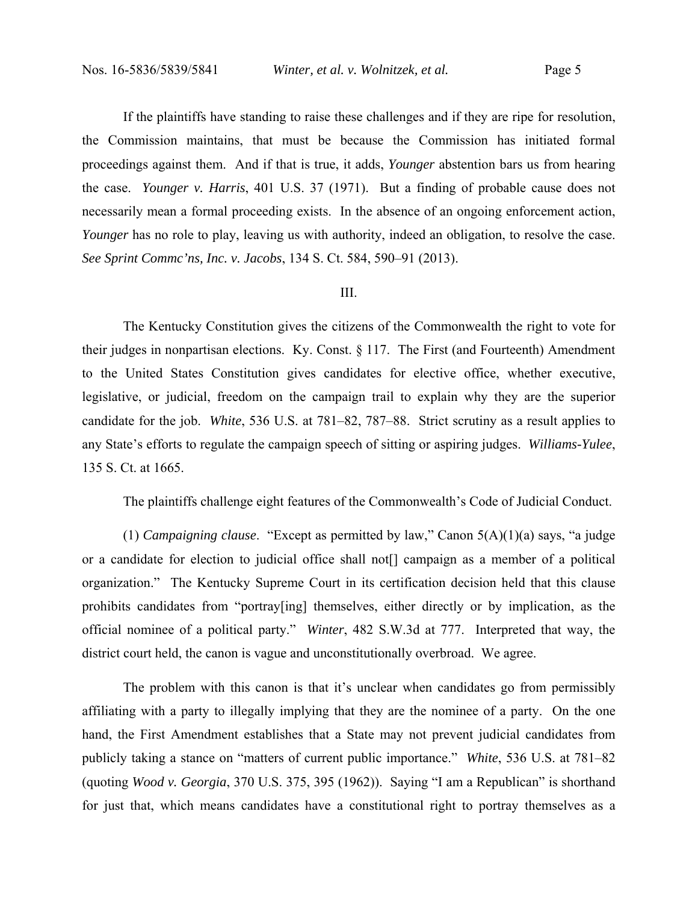If the plaintiffs have standing to raise these challenges and if they are ripe for resolution, the Commission maintains, that must be because the Commission has initiated formal proceedings against them. And if that is true, it adds, *Younger* abstention bars us from hearing the case. *Younger v. Harris*, 401 U.S. 37 (1971). But a finding of probable cause does not necessarily mean a formal proceeding exists. In the absence of an ongoing enforcement action, *Younger* has no role to play, leaving us with authority, indeed an obligation, to resolve the case. *See Sprint Commc'ns, Inc. v. Jacobs*, 134 S. Ct. 584, 590–91 (2013).

### III.

The Kentucky Constitution gives the citizens of the Commonwealth the right to vote for their judges in nonpartisan elections. Ky. Const. § 117. The First (and Fourteenth) Amendment to the United States Constitution gives candidates for elective office, whether executive, legislative, or judicial, freedom on the campaign trail to explain why they are the superior candidate for the job. *White*, 536 U.S. at 781–82, 787–88. Strict scrutiny as a result applies to any State's efforts to regulate the campaign speech of sitting or aspiring judges. *Williams-Yulee*, 135 S. Ct. at 1665.

The plaintiffs challenge eight features of the Commonwealth's Code of Judicial Conduct.

(1) *Campaigning clause*. "Except as permitted by law," Canon 5(A)(1)(a) says, "a judge or a candidate for election to judicial office shall not[] campaign as a member of a political organization." The Kentucky Supreme Court in its certification decision held that this clause prohibits candidates from "portray[ing] themselves, either directly or by implication, as the official nominee of a political party." *Winter*, 482 S.W.3d at 777. Interpreted that way, the district court held, the canon is vague and unconstitutionally overbroad. We agree.

The problem with this canon is that it's unclear when candidates go from permissibly affiliating with a party to illegally implying that they are the nominee of a party. On the one hand, the First Amendment establishes that a State may not prevent judicial candidates from publicly taking a stance on "matters of current public importance." *White*, 536 U.S. at 781–82 (quoting *Wood v. Georgia*, 370 U.S. 375, 395 (1962)). Saying "I am a Republican" is shorthand for just that, which means candidates have a constitutional right to portray themselves as a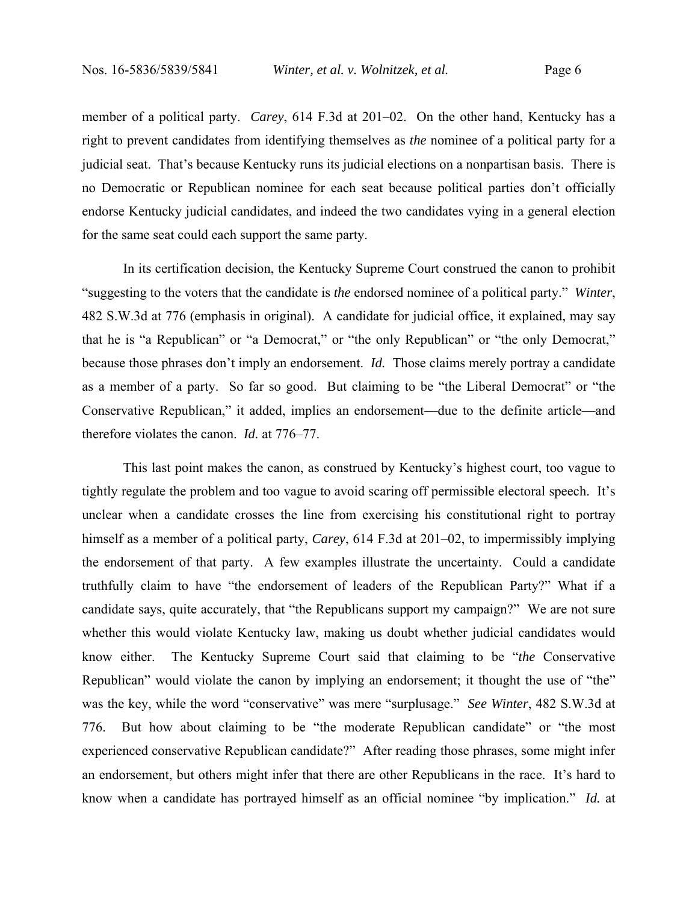member of a political party. *Carey*, 614 F.3d at 201–02. On the other hand, Kentucky has a right to prevent candidates from identifying themselves as *the* nominee of a political party for a judicial seat. That's because Kentucky runs its judicial elections on a nonpartisan basis. There is no Democratic or Republican nominee for each seat because political parties don't officially endorse Kentucky judicial candidates, and indeed the two candidates vying in a general election for the same seat could each support the same party.

In its certification decision, the Kentucky Supreme Court construed the canon to prohibit "suggesting to the voters that the candidate is *the* endorsed nominee of a political party." *Winter*, 482 S.W.3d at 776 (emphasis in original). A candidate for judicial office, it explained, may say that he is "a Republican" or "a Democrat," or "the only Republican" or "the only Democrat," because those phrases don't imply an endorsement. *Id.* Those claims merely portray a candidate as a member of a party. So far so good. But claiming to be "the Liberal Democrat" or "the Conservative Republican," it added, implies an endorsement—due to the definite article—and therefore violates the canon. *Id.* at 776–77.

This last point makes the canon, as construed by Kentucky's highest court, too vague to tightly regulate the problem and too vague to avoid scaring off permissible electoral speech. It's unclear when a candidate crosses the line from exercising his constitutional right to portray himself as a member of a political party, *Carey*, 614 F.3d at 201–02, to impermissibly implying the endorsement of that party. A few examples illustrate the uncertainty. Could a candidate truthfully claim to have "the endorsement of leaders of the Republican Party?" What if a candidate says, quite accurately, that "the Republicans support my campaign?" We are not sure whether this would violate Kentucky law, making us doubt whether judicial candidates would know either. The Kentucky Supreme Court said that claiming to be "*the* Conservative Republican" would violate the canon by implying an endorsement; it thought the use of "the" was the key, while the word "conservative" was mere "surplusage." *See Winter*, 482 S.W.3d at 776. But how about claiming to be "the moderate Republican candidate" or "the most experienced conservative Republican candidate?" After reading those phrases, some might infer an endorsement, but others might infer that there are other Republicans in the race. It's hard to know when a candidate has portrayed himself as an official nominee "by implication." *Id.* at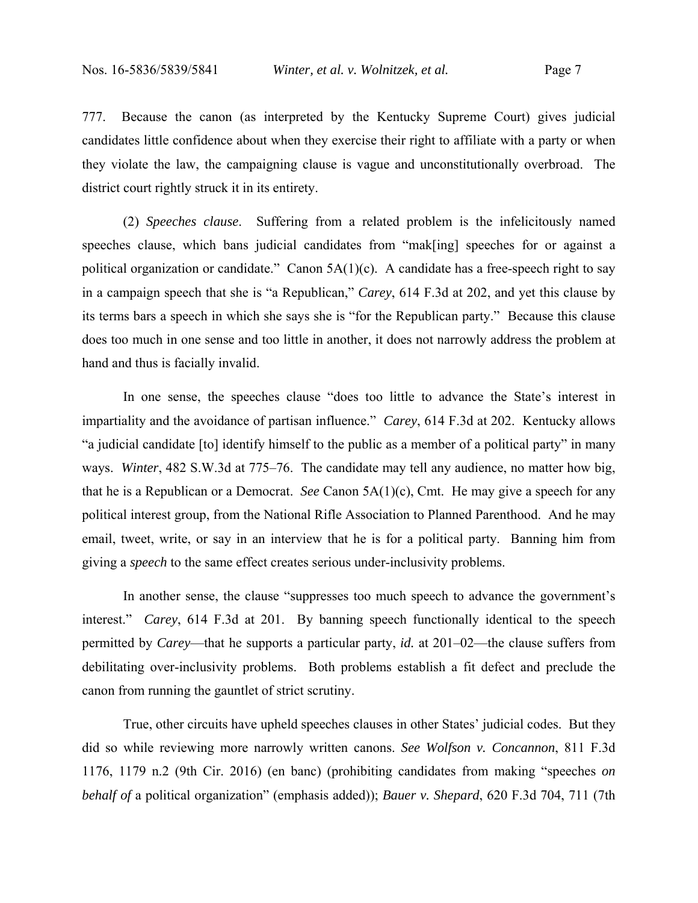777. Because the canon (as interpreted by the Kentucky Supreme Court) gives judicial candidates little confidence about when they exercise their right to affiliate with a party or when they violate the law, the campaigning clause is vague and unconstitutionally overbroad. The district court rightly struck it in its entirety.

(2) *Speeches clause*. Suffering from a related problem is the infelicitously named speeches clause, which bans judicial candidates from "mak[ing] speeches for or against a political organization or candidate." Canon  $5A(1)(c)$ . A candidate has a free-speech right to say in a campaign speech that she is "a Republican," *Carey*, 614 F.3d at 202, and yet this clause by its terms bars a speech in which she says she is "for the Republican party." Because this clause does too much in one sense and too little in another, it does not narrowly address the problem at hand and thus is facially invalid.

In one sense, the speeches clause "does too little to advance the State's interest in impartiality and the avoidance of partisan influence." *Carey*, 614 F.3d at 202. Kentucky allows "a judicial candidate [to] identify himself to the public as a member of a political party" in many ways. *Winter*, 482 S.W.3d at 775–76. The candidate may tell any audience, no matter how big, that he is a Republican or a Democrat. *See* Canon 5A(1)(c), Cmt. He may give a speech for any political interest group, from the National Rifle Association to Planned Parenthood. And he may email, tweet, write, or say in an interview that he is for a political party. Banning him from giving a *speech* to the same effect creates serious under-inclusivity problems.

In another sense, the clause "suppresses too much speech to advance the government's interest." *Carey*, 614 F.3d at 201. By banning speech functionally identical to the speech permitted by *Carey*—that he supports a particular party, *id.* at 201–02—the clause suffers from debilitating over-inclusivity problems. Both problems establish a fit defect and preclude the canon from running the gauntlet of strict scrutiny.

True, other circuits have upheld speeches clauses in other States' judicial codes. But they did so while reviewing more narrowly written canons. *See Wolfson v. Concannon*, 811 F.3d 1176, 1179 n.2 (9th Cir. 2016) (en banc) (prohibiting candidates from making "speeches *on behalf of* a political organization" (emphasis added)); *Bauer v. Shepard*, 620 F.3d 704, 711 (7th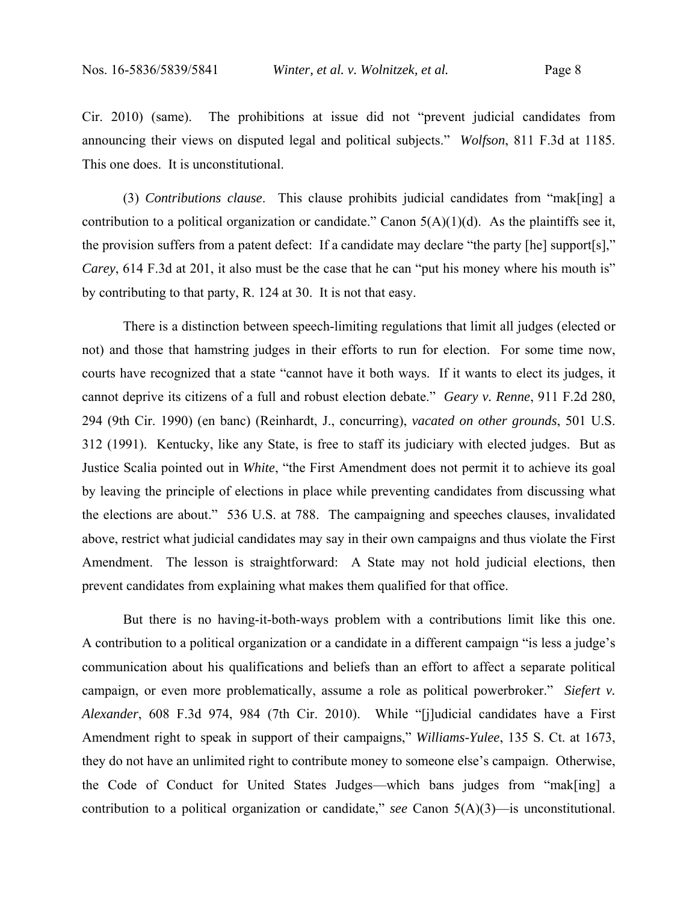Cir. 2010) (same). The prohibitions at issue did not "prevent judicial candidates from announcing their views on disputed legal and political subjects." *Wolfson*, 811 F.3d at 1185. This one does. It is unconstitutional.

(3) *Contributions clause*. This clause prohibits judicial candidates from "mak[ing] a contribution to a political organization or candidate." Canon  $5(A)(1)(d)$ . As the plaintiffs see it, the provision suffers from a patent defect: If a candidate may declare "the party [he] support[s]," *Carey*, 614 F.3d at 201, it also must be the case that he can "put his money where his mouth is" by contributing to that party, R. 124 at 30. It is not that easy.

There is a distinction between speech-limiting regulations that limit all judges (elected or not) and those that hamstring judges in their efforts to run for election. For some time now, courts have recognized that a state "cannot have it both ways. If it wants to elect its judges, it cannot deprive its citizens of a full and robust election debate." *Geary v. Renne*, 911 F.2d 280, 294 (9th Cir. 1990) (en banc) (Reinhardt, J., concurring), *vacated on other grounds*, 501 U.S. 312 (1991). Kentucky, like any State, is free to staff its judiciary with elected judges. But as Justice Scalia pointed out in *White*, "the First Amendment does not permit it to achieve its goal by leaving the principle of elections in place while preventing candidates from discussing what the elections are about." 536 U.S. at 788. The campaigning and speeches clauses, invalidated above, restrict what judicial candidates may say in their own campaigns and thus violate the First Amendment. The lesson is straightforward: A State may not hold judicial elections, then prevent candidates from explaining what makes them qualified for that office.

But there is no having-it-both-ways problem with a contributions limit like this one. A contribution to a political organization or a candidate in a different campaign "is less a judge's communication about his qualifications and beliefs than an effort to affect a separate political campaign, or even more problematically, assume a role as political powerbroker." *Siefert v. Alexander*, 608 F.3d 974, 984 (7th Cir. 2010). While "[j]udicial candidates have a First Amendment right to speak in support of their campaigns," *Williams-Yulee*, 135 S. Ct. at 1673, they do not have an unlimited right to contribute money to someone else's campaign. Otherwise, the Code of Conduct for United States Judges—which bans judges from "mak[ing] a contribution to a political organization or candidate," *see* Canon 5(A)(3)—is unconstitutional.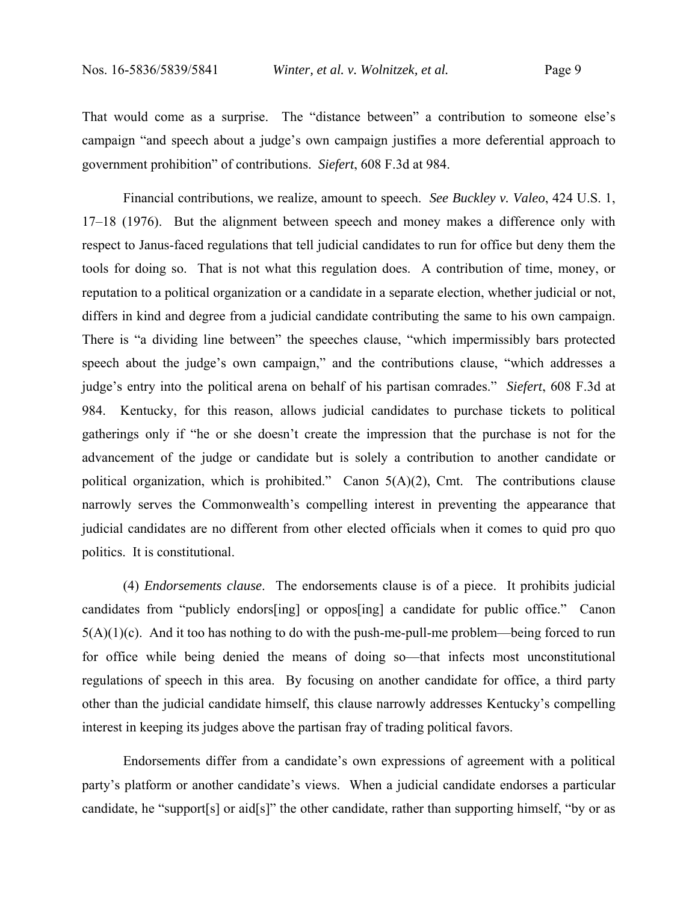That would come as a surprise. The "distance between" a contribution to someone else's campaign "and speech about a judge's own campaign justifies a more deferential approach to government prohibition" of contributions. *Siefert*, 608 F.3d at 984.

Financial contributions, we realize, amount to speech. *See Buckley v. Valeo*, 424 U.S. 1, 17–18 (1976). But the alignment between speech and money makes a difference only with respect to Janus-faced regulations that tell judicial candidates to run for office but deny them the tools for doing so. That is not what this regulation does. A contribution of time, money, or reputation to a political organization or a candidate in a separate election, whether judicial or not, differs in kind and degree from a judicial candidate contributing the same to his own campaign. There is "a dividing line between" the speeches clause, "which impermissibly bars protected speech about the judge's own campaign," and the contributions clause, "which addresses a judge's entry into the political arena on behalf of his partisan comrades." *Siefert*, 608 F.3d at 984. Kentucky, for this reason, allows judicial candidates to purchase tickets to political gatherings only if "he or she doesn't create the impression that the purchase is not for the advancement of the judge or candidate but is solely a contribution to another candidate or political organization, which is prohibited." Canon 5(A)(2), Cmt. The contributions clause narrowly serves the Commonwealth's compelling interest in preventing the appearance that judicial candidates are no different from other elected officials when it comes to quid pro quo politics. It is constitutional.

(4) *Endorsements clause*. The endorsements clause is of a piece. It prohibits judicial candidates from "publicly endors[ing] or oppos[ing] a candidate for public office." Canon  $5(A)(1)(c)$ . And it too has nothing to do with the push-me-pull-me problem—being forced to run for office while being denied the means of doing so—that infects most unconstitutional regulations of speech in this area. By focusing on another candidate for office, a third party other than the judicial candidate himself, this clause narrowly addresses Kentucky's compelling interest in keeping its judges above the partisan fray of trading political favors.

Endorsements differ from a candidate's own expressions of agreement with a political party's platform or another candidate's views. When a judicial candidate endorses a particular candidate, he "support[s] or aid[s]" the other candidate, rather than supporting himself, "by or as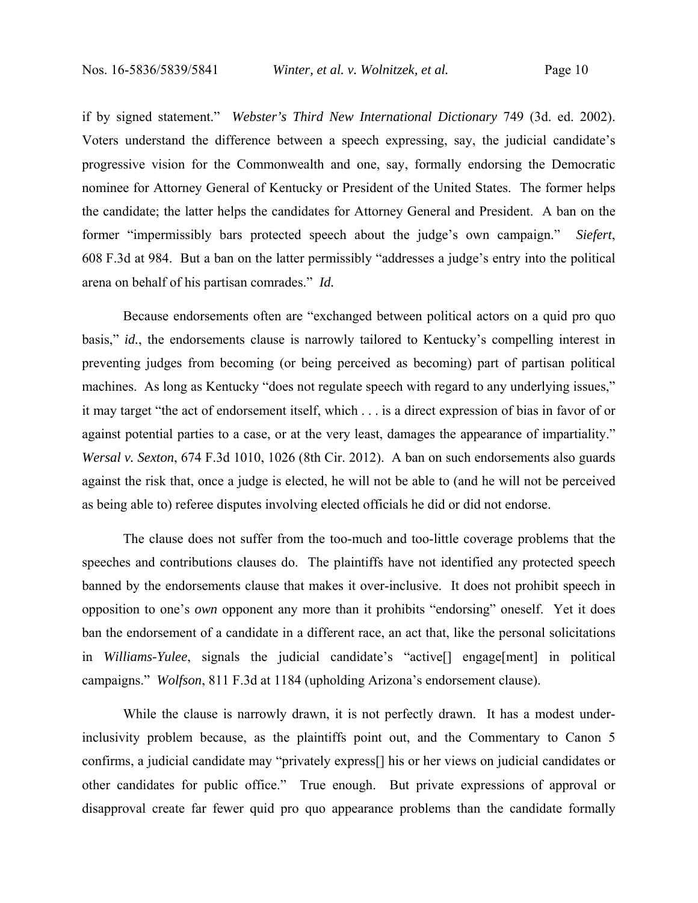if by signed statement." *Webster's Third New International Dictionary* 749 (3d. ed. 2002). Voters understand the difference between a speech expressing, say, the judicial candidate's progressive vision for the Commonwealth and one, say, formally endorsing the Democratic nominee for Attorney General of Kentucky or President of the United States. The former helps the candidate; the latter helps the candidates for Attorney General and President. A ban on the former "impermissibly bars protected speech about the judge's own campaign." *Siefert*, 608 F.3d at 984. But a ban on the latter permissibly "addresses a judge's entry into the political arena on behalf of his partisan comrades." *Id.*

Because endorsements often are "exchanged between political actors on a quid pro quo basis," *id.*, the endorsements clause is narrowly tailored to Kentucky's compelling interest in preventing judges from becoming (or being perceived as becoming) part of partisan political machines. As long as Kentucky "does not regulate speech with regard to any underlying issues," it may target "the act of endorsement itself, which . . . is a direct expression of bias in favor of or against potential parties to a case, or at the very least, damages the appearance of impartiality." *Wersal v. Sexton*, 674 F.3d 1010, 1026 (8th Cir. 2012). A ban on such endorsements also guards against the risk that, once a judge is elected, he will not be able to (and he will not be perceived as being able to) referee disputes involving elected officials he did or did not endorse.

The clause does not suffer from the too-much and too-little coverage problems that the speeches and contributions clauses do. The plaintiffs have not identified any protected speech banned by the endorsements clause that makes it over-inclusive. It does not prohibit speech in opposition to one's *own* opponent any more than it prohibits "endorsing" oneself. Yet it does ban the endorsement of a candidate in a different race, an act that, like the personal solicitations in *Williams-Yulee*, signals the judicial candidate's "active[] engage[ment] in political campaigns." *Wolfson*, 811 F.3d at 1184 (upholding Arizona's endorsement clause).

While the clause is narrowly drawn, it is not perfectly drawn. It has a modest underinclusivity problem because, as the plaintiffs point out, and the Commentary to Canon 5 confirms, a judicial candidate may "privately express[] his or her views on judicial candidates or other candidates for public office." True enough. But private expressions of approval or disapproval create far fewer quid pro quo appearance problems than the candidate formally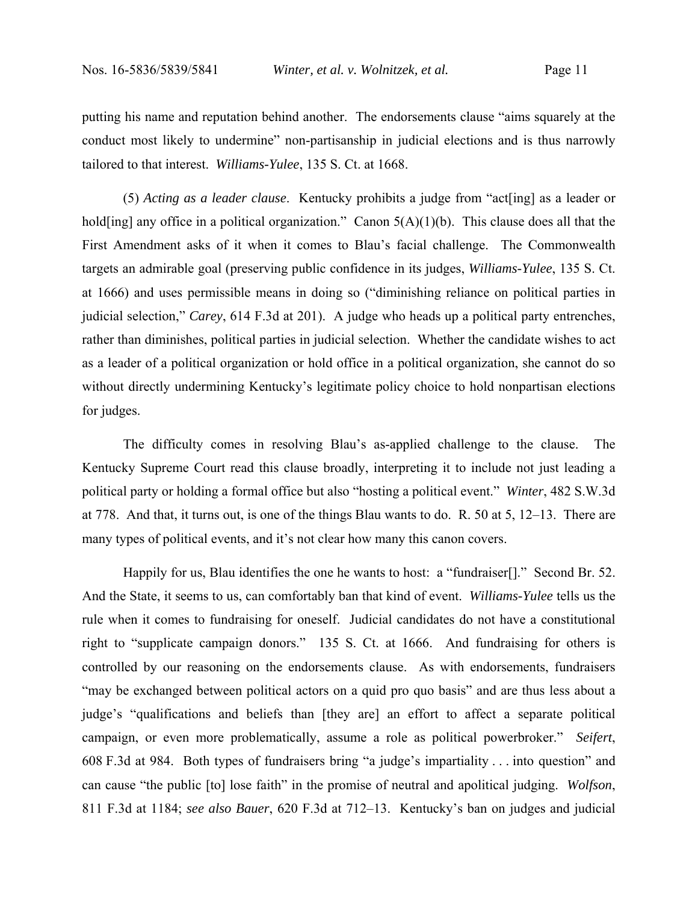putting his name and reputation behind another. The endorsements clause "aims squarely at the conduct most likely to undermine" non-partisanship in judicial elections and is thus narrowly tailored to that interest. *Williams-Yulee*, 135 S. Ct. at 1668.

(5) *Acting as a leader clause*. Kentucky prohibits a judge from "act[ing] as a leader or hold[ing] any office in a political organization." Canon  $5(A)(1)(b)$ . This clause does all that the First Amendment asks of it when it comes to Blau's facial challenge. The Commonwealth targets an admirable goal (preserving public confidence in its judges, *Williams-Yulee*, 135 S. Ct. at 1666) and uses permissible means in doing so ("diminishing reliance on political parties in judicial selection," *Carey*, 614 F.3d at 201). A judge who heads up a political party entrenches, rather than diminishes, political parties in judicial selection. Whether the candidate wishes to act as a leader of a political organization or hold office in a political organization, she cannot do so without directly undermining Kentucky's legitimate policy choice to hold nonpartisan elections for judges.

The difficulty comes in resolving Blau's as-applied challenge to the clause. The Kentucky Supreme Court read this clause broadly, interpreting it to include not just leading a political party or holding a formal office but also "hosting a political event." *Winter*, 482 S.W.3d at 778. And that, it turns out, is one of the things Blau wants to do. R. 50 at 5, 12–13. There are many types of political events, and it's not clear how many this canon covers.

Happily for us, Blau identifies the one he wants to host: a "fundraiser[]." Second Br. 52. And the State, it seems to us, can comfortably ban that kind of event. *Williams-Yulee* tells us the rule when it comes to fundraising for oneself. Judicial candidates do not have a constitutional right to "supplicate campaign donors." 135 S. Ct. at 1666. And fundraising for others is controlled by our reasoning on the endorsements clause. As with endorsements, fundraisers "may be exchanged between political actors on a quid pro quo basis" and are thus less about a judge's "qualifications and beliefs than [they are] an effort to affect a separate political campaign, or even more problematically, assume a role as political powerbroker." *Seifert*, 608 F.3d at 984. Both types of fundraisers bring "a judge's impartiality . . . into question" and can cause "the public [to] lose faith" in the promise of neutral and apolitical judging. *Wolfson*, 811 F.3d at 1184; *see also Bauer*, 620 F.3d at 712–13. Kentucky's ban on judges and judicial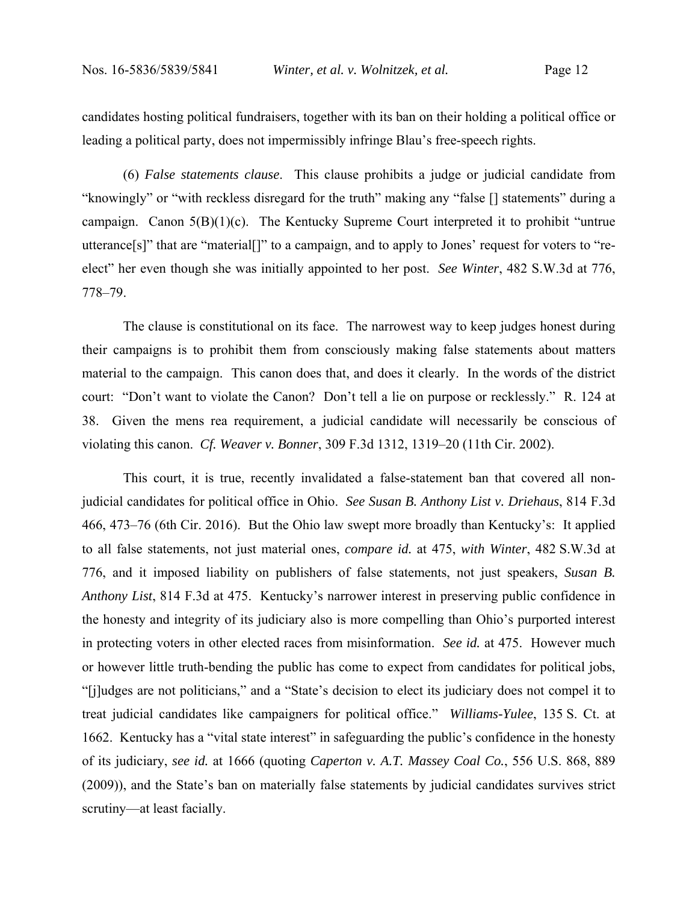candidates hosting political fundraisers, together with its ban on their holding a political office or leading a political party, does not impermissibly infringe Blau's free-speech rights.

(6) *False statements clause*. This clause prohibits a judge or judicial candidate from "knowingly" or "with reckless disregard for the truth" making any "false [] statements" during a campaign. Canon 5(B)(1)(c). The Kentucky Supreme Court interpreted it to prohibit "untrue utterance[s]" that are "material[]" to a campaign, and to apply to Jones' request for voters to "reelect" her even though she was initially appointed to her post. *See Winter*, 482 S.W.3d at 776, 778–79.

The clause is constitutional on its face. The narrowest way to keep judges honest during their campaigns is to prohibit them from consciously making false statements about matters material to the campaign. This canon does that, and does it clearly. In the words of the district court: "Don't want to violate the Canon? Don't tell a lie on purpose or recklessly." R. 124 at 38. Given the mens rea requirement, a judicial candidate will necessarily be conscious of violating this canon. *Cf. Weaver v. Bonner*, 309 F.3d 1312, 1319–20 (11th Cir. 2002).

This court, it is true, recently invalidated a false-statement ban that covered all nonjudicial candidates for political office in Ohio. *See Susan B. Anthony List v. Driehaus*, 814 F.3d 466, 473–76 (6th Cir. 2016). But the Ohio law swept more broadly than Kentucky's: It applied to all false statements, not just material ones, *compare id.* at 475, *with Winter*, 482 S.W.3d at 776, and it imposed liability on publishers of false statements, not just speakers, *Susan B. Anthony List*, 814 F.3d at 475. Kentucky's narrower interest in preserving public confidence in the honesty and integrity of its judiciary also is more compelling than Ohio's purported interest in protecting voters in other elected races from misinformation. *See id.* at 475. However much or however little truth-bending the public has come to expect from candidates for political jobs, "[j]udges are not politicians," and a "State's decision to elect its judiciary does not compel it to treat judicial candidates like campaigners for political office." *Williams-Yulee*, 135 S. Ct. at 1662. Kentucky has a "vital state interest" in safeguarding the public's confidence in the honesty of its judiciary, *see id.* at 1666 (quoting *Caperton v. A.T. Massey Coal Co.*, 556 U.S. 868, 889 (2009)), and the State's ban on materially false statements by judicial candidates survives strict scrutiny—at least facially.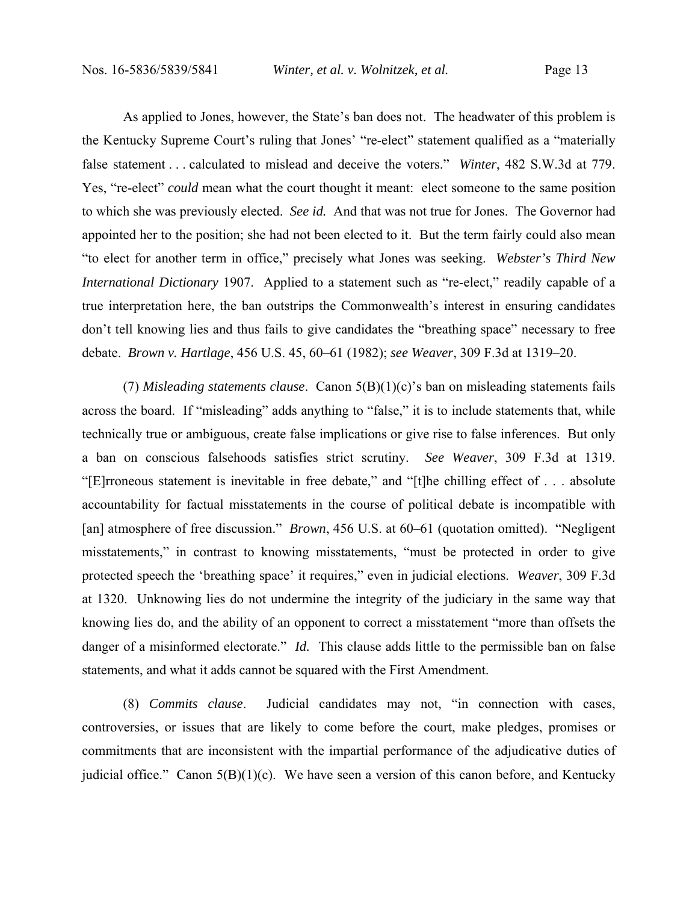As applied to Jones, however, the State's ban does not. The headwater of this problem is the Kentucky Supreme Court's ruling that Jones' "re-elect" statement qualified as a "materially false statement . . . calculated to mislead and deceive the voters." *Winter*, 482 S.W.3d at 779. Yes, "re-elect" *could* mean what the court thought it meant: elect someone to the same position to which she was previously elected. *See id.* And that was not true for Jones. The Governor had appointed her to the position; she had not been elected to it. But the term fairly could also mean "to elect for another term in office," precisely what Jones was seeking. *Webster's Third New International Dictionary* 1907. Applied to a statement such as "re-elect," readily capable of a true interpretation here, the ban outstrips the Commonwealth's interest in ensuring candidates don't tell knowing lies and thus fails to give candidates the "breathing space" necessary to free debate. *Brown v. Hartlage*, 456 U.S. 45, 60–61 (1982); *see Weaver*, 309 F.3d at 1319–20.

(7) *Misleading statements clause*.Canon 5(B)(1)(c)'s ban on misleading statements fails across the board. If "misleading" adds anything to "false," it is to include statements that, while technically true or ambiguous, create false implications or give rise to false inferences. But only a ban on conscious falsehoods satisfies strict scrutiny. *See Weaver*, 309 F.3d at 1319. "[E]rroneous statement is inevitable in free debate," and "[t]he chilling effect of . . . absolute accountability for factual misstatements in the course of political debate is incompatible with [an] atmosphere of free discussion." *Brown*, 456 U.S. at 60–61 (quotation omitted). "Negligent misstatements," in contrast to knowing misstatements, "must be protected in order to give protected speech the 'breathing space' it requires," even in judicial elections. *Weaver*, 309 F.3d at 1320. Unknowing lies do not undermine the integrity of the judiciary in the same way that knowing lies do, and the ability of an opponent to correct a misstatement "more than offsets the danger of a misinformed electorate." *Id.* This clause adds little to the permissible ban on false statements, and what it adds cannot be squared with the First Amendment.

(8) *Commits clause*. Judicial candidates may not, "in connection with cases, controversies, or issues that are likely to come before the court, make pledges, promises or commitments that are inconsistent with the impartial performance of the adjudicative duties of judicial office." Canon  $5(B)(1)(c)$ . We have seen a version of this canon before, and Kentucky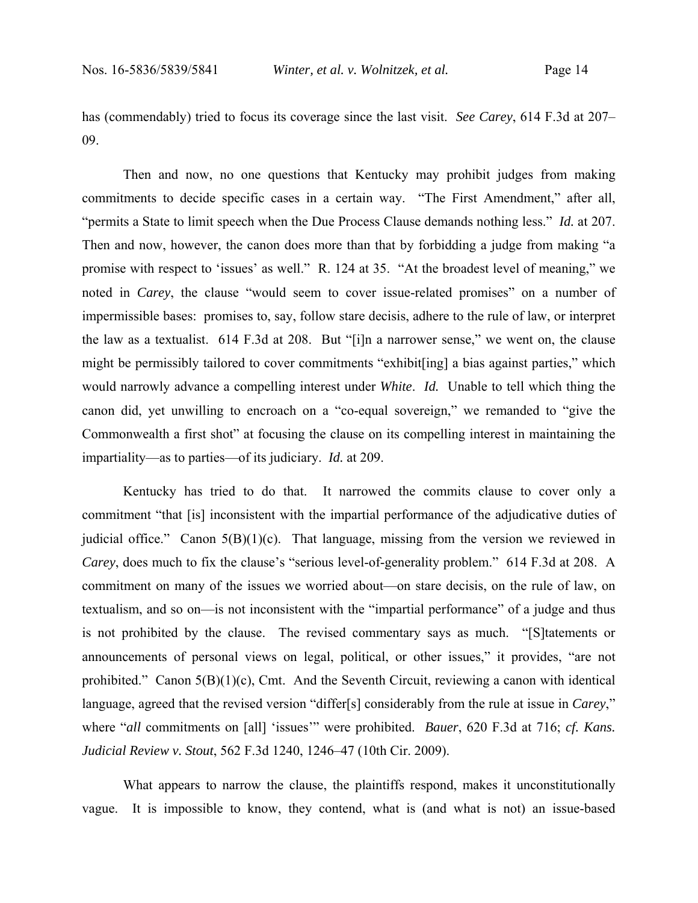has (commendably) tried to focus its coverage since the last visit. *See Carey*, 614 F.3d at 207– 09.

Then and now, no one questions that Kentucky may prohibit judges from making commitments to decide specific cases in a certain way. "The First Amendment," after all, "permits a State to limit speech when the Due Process Clause demands nothing less." *Id.* at 207. Then and now, however, the canon does more than that by forbidding a judge from making "a promise with respect to 'issues' as well." R. 124 at 35. "At the broadest level of meaning," we noted in *Carey*, the clause "would seem to cover issue-related promises" on a number of impermissible bases: promises to, say, follow stare decisis, adhere to the rule of law, or interpret the law as a textualist. 614 F.3d at 208. But "[i]n a narrower sense," we went on, the clause might be permissibly tailored to cover commitments "exhibit[ing] a bias against parties," which would narrowly advance a compelling interest under *White*. *Id.* Unable to tell which thing the canon did, yet unwilling to encroach on a "co-equal sovereign," we remanded to "give the Commonwealth a first shot" at focusing the clause on its compelling interest in maintaining the impartiality—as to parties—of its judiciary. *Id.* at 209.

Kentucky has tried to do that. It narrowed the commits clause to cover only a commitment "that [is] inconsistent with the impartial performance of the adjudicative duties of judicial office." Canon  $5(B)(1)(c)$ . That language, missing from the version we reviewed in *Carey*, does much to fix the clause's "serious level-of-generality problem."614 F.3d at 208. A commitment on many of the issues we worried about—on stare decisis, on the rule of law, on textualism, and so on—is not inconsistent with the "impartial performance" of a judge and thus is not prohibited by the clause. The revised commentary says as much. "[S]tatements or announcements of personal views on legal, political, or other issues," it provides, "are not prohibited." Canon 5(B)(1)(c), Cmt. And the Seventh Circuit, reviewing a canon with identical language, agreed that the revised version "differ[s] considerably from the rule at issue in *Carey*," where "*all* commitments on [all] 'issues'" were prohibited. *Bauer*, 620 F.3d at 716; *cf. Kans. Judicial Review v. Stout*, 562 F.3d 1240, 1246–47 (10th Cir. 2009).

What appears to narrow the clause, the plaintiffs respond, makes it unconstitutionally vague. It is impossible to know, they contend, what is (and what is not) an issue-based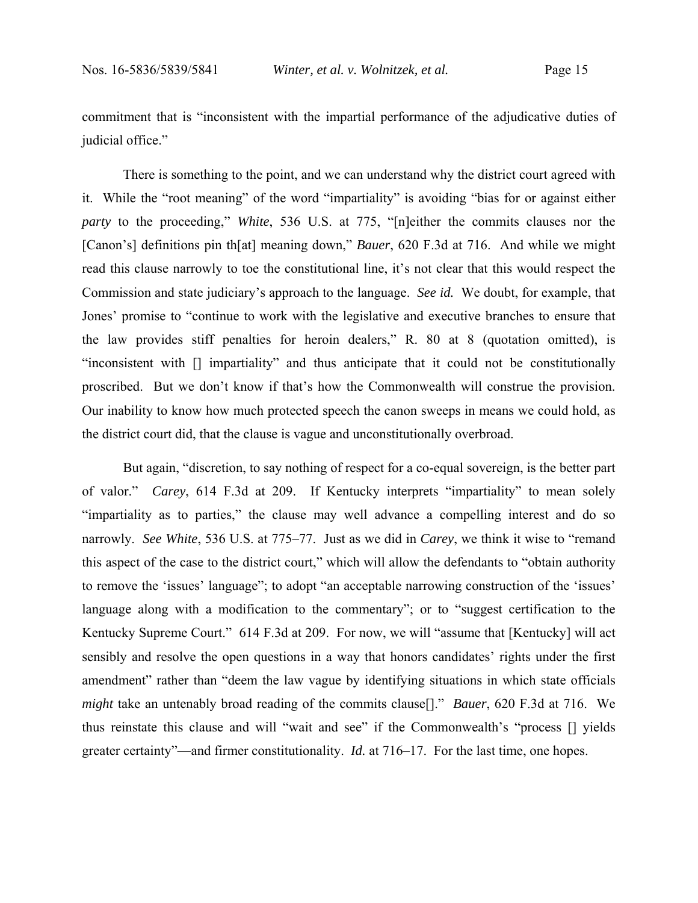commitment that is "inconsistent with the impartial performance of the adjudicative duties of judicial office."

There is something to the point, and we can understand why the district court agreed with it. While the "root meaning" of the word "impartiality" is avoiding "bias for or against either *party* to the proceeding," *White*, 536 U.S. at 775, "[n]either the commits clauses nor the [Canon's] definitions pin th[at] meaning down," *Bauer*, 620 F.3d at 716. And while we might read this clause narrowly to toe the constitutional line, it's not clear that this would respect the Commission and state judiciary's approach to the language. *See id.* We doubt, for example, that Jones' promise to "continue to work with the legislative and executive branches to ensure that the law provides stiff penalties for heroin dealers," R. 80 at 8 (quotation omitted), is "inconsistent with [] impartiality" and thus anticipate that it could not be constitutionally proscribed. But we don't know if that's how the Commonwealth will construe the provision. Our inability to know how much protected speech the canon sweeps in means we could hold, as the district court did, that the clause is vague and unconstitutionally overbroad.

But again, "discretion, to say nothing of respect for a co-equal sovereign, is the better part of valor." *Carey*, 614 F.3d at 209. If Kentucky interprets "impartiality" to mean solely "impartiality as to parties," the clause may well advance a compelling interest and do so narrowly. *See White*, 536 U.S. at 775–77. Just as we did in *Carey*, we think it wise to "remand this aspect of the case to the district court," which will allow the defendants to "obtain authority to remove the 'issues' language"; to adopt "an acceptable narrowing construction of the 'issues' language along with a modification to the commentary"; or to "suggest certification to the Kentucky Supreme Court." 614 F.3d at 209. For now, we will "assume that [Kentucky] will act sensibly and resolve the open questions in a way that honors candidates' rights under the first amendment" rather than "deem the law vague by identifying situations in which state officials *might* take an untenably broad reading of the commits clause[]." *Bauer*, 620 F.3d at 716. We thus reinstate this clause and will "wait and see" if the Commonwealth's "process [] yields greater certainty"—and firmer constitutionality. *Id.* at 716–17. For the last time, one hopes.